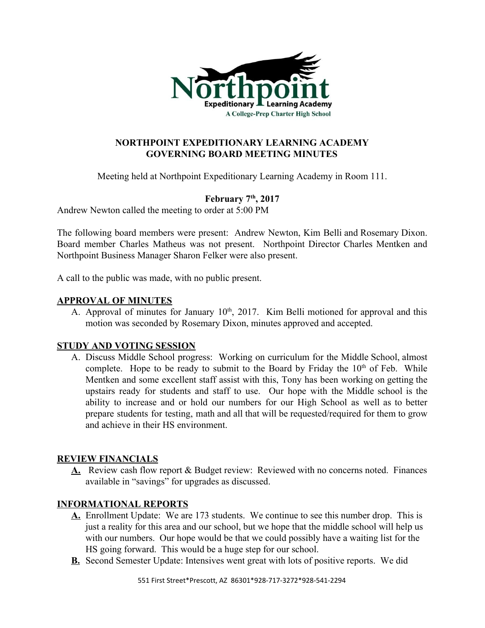

## **NORTHPOINT EXPEDITIONARY LEARNING ACADEMY GOVERNING BOARD MEETING MINUTES**

Meeting held at Northpoint Expeditionary Learning Academy in Room 111.

# **February 7 th , 2017**

Andrew Newton called the meeting to order at 5:00 PM

The following board members were present: Andrew Newton, Kim Belli and Rosemary Dixon. Board member Charles Matheus was not present. Northpoint Director Charles Mentken and Northpoint Business Manager Sharon Felker were also present.

A call to the public was made, with no public present.

## **APPROVAL OF MINUTES**

A. Approval of minutes for January  $10<sup>th</sup>$ , 2017. Kim Belli motioned for approval and this motion was seconded by Rosemary Dixon, minutes approved and accepted.

## **STUDY AND VOTING SESSION**

A. Discuss Middle School progress: Working on curriculum for the Middle School, almost complete. Hope to be ready to submit to the Board by Friday the  $10<sup>th</sup>$  of Feb. While Mentken and some excellent staff assist with this, Tony has been working on getting the upstairs ready for students and staff to use. Our hope with the Middle school is the ability to increase and or hold our numbers for our High School as well as to better prepare students for testing, math and all that will be requested/required for them to grow and achieve in their HS environment.

## **REVIEW FINANCIALS**

**A.** Review cash flow report & Budget review: Reviewed with no concerns noted. Finances available in "savings" for upgrades as discussed.

## **INFORMATIONAL REPORTS**

- **A.** Enrollment Update: We are 173 students. We continue to see this number drop. This is just a reality for this area and our school, but we hope that the middle school will help us with our numbers. Our hope would be that we could possibly have a waiting list for the HS going forward. This would be a huge step for our school.
- **B.** Second Semester Update: Intensives went great with lots of positive reports. We did